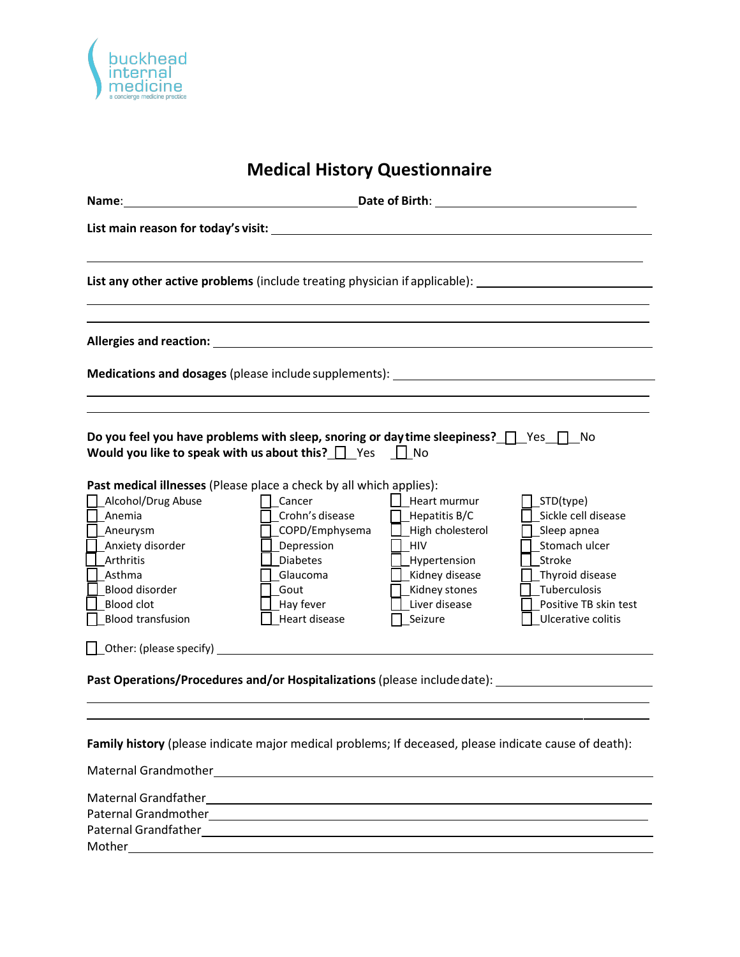

## **Medical History Questionnaire**

|                                                                                                                                                                                                                                                                                                                                                                                                      |                                                                                                                                                                         | Date of Birth: University of Birth Services and Services and Services and Services and Services and Services and Services and Services and Services and Services and Services and Services and Services and Services and Servi |                                                                                                                                                                |
|------------------------------------------------------------------------------------------------------------------------------------------------------------------------------------------------------------------------------------------------------------------------------------------------------------------------------------------------------------------------------------------------------|-------------------------------------------------------------------------------------------------------------------------------------------------------------------------|--------------------------------------------------------------------------------------------------------------------------------------------------------------------------------------------------------------------------------|----------------------------------------------------------------------------------------------------------------------------------------------------------------|
|                                                                                                                                                                                                                                                                                                                                                                                                      |                                                                                                                                                                         |                                                                                                                                                                                                                                |                                                                                                                                                                |
|                                                                                                                                                                                                                                                                                                                                                                                                      |                                                                                                                                                                         |                                                                                                                                                                                                                                | List any other active problems (include treating physician if applicable): _________________________                                                           |
|                                                                                                                                                                                                                                                                                                                                                                                                      |                                                                                                                                                                         |                                                                                                                                                                                                                                |                                                                                                                                                                |
|                                                                                                                                                                                                                                                                                                                                                                                                      |                                                                                                                                                                         |                                                                                                                                                                                                                                |                                                                                                                                                                |
| Do you feel you have problems with sleep, snoring or day time sleepiness? $\Box$ Yes $\Box$ No<br>Would you like to speak with us about this? $\Box$ Yes $\Box$ No<br>Past medical illnesses (Please place a check by all which applies):<br>Alcohol/Drug Abuse<br>Anemia<br>_Aneurysm<br>Anxiety disorder<br>Arthritis<br>Asthma<br>Blood disorder<br><b>Blood clot</b><br><b>Blood transfusion</b> | Cancer<br>Crohn's disease<br>COPD/Emphysema<br>Depression<br><b>Diabetes</b><br>Glaucoma<br>Gout<br>Hay fever<br>Heart disease<br>$\Box$ Other: (please specify) $\Box$ | $\Box$ Heart murmur<br>Hepatitis B/C<br>High cholesterol<br>HIV<br>Hypertension<br>_Kidney disease<br>Kidney stones<br>Liver disease<br>Seizure                                                                                | _STD(type)<br>Sickle cell disease<br>Sleep apnea<br>Stomach ulcer<br>Stroke<br>_Thyroid disease<br>Tuberculosis<br>Positive TB skin test<br>Ulcerative colitis |
|                                                                                                                                                                                                                                                                                                                                                                                                      |                                                                                                                                                                         |                                                                                                                                                                                                                                | Past Operations/Procedures and/or Hospitalizations (please include date): _________________________                                                            |
| Family history (please indicate major medical problems; If deceased, please indicate cause of death):                                                                                                                                                                                                                                                                                                |                                                                                                                                                                         |                                                                                                                                                                                                                                |                                                                                                                                                                |
|                                                                                                                                                                                                                                                                                                                                                                                                      |                                                                                                                                                                         |                                                                                                                                                                                                                                |                                                                                                                                                                |